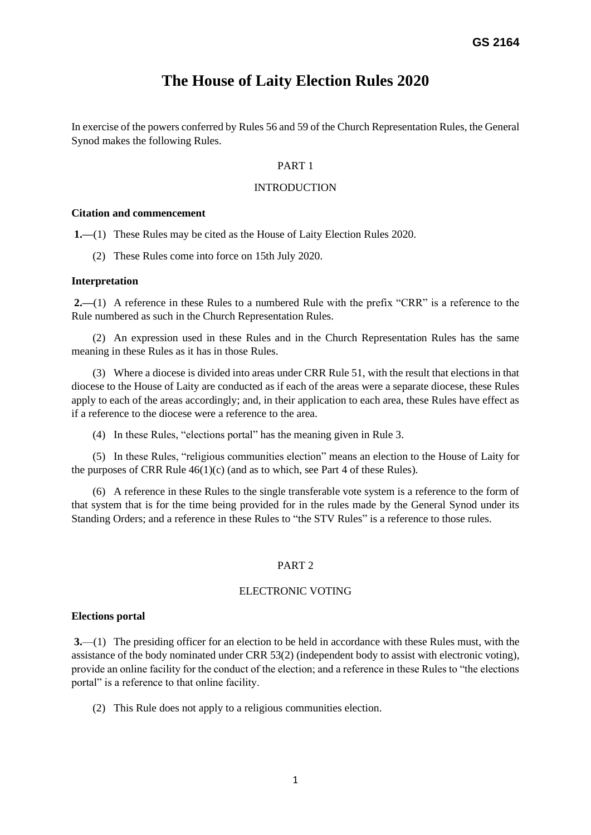# **The House of Laity Election Rules 2020**

In exercise of the powers conferred by Rules 56 and 59 of the Church Representation Rules, the General Synod makes the following Rules.

### PART 1

### **INTRODUCTION**

### **Citation and commencement**

**1.—**(1) These Rules may be cited as the House of Laity Election Rules 2020.

(2) These Rules come into force on 15th July 2020.

### **Interpretation**

**2.—**(1) A reference in these Rules to a numbered Rule with the prefix "CRR" is a reference to the Rule numbered as such in the Church Representation Rules.

(2) An expression used in these Rules and in the Church Representation Rules has the same meaning in these Rules as it has in those Rules.

(3) Where a diocese is divided into areas under CRR Rule 51, with the result that elections in that diocese to the House of Laity are conducted as if each of the areas were a separate diocese, these Rules apply to each of the areas accordingly; and, in their application to each area, these Rules have effect as if a reference to the diocese were a reference to the area.

(4) In these Rules, "elections portal" has the meaning given in Rule 3.

(5) In these Rules, "religious communities election" means an election to the House of Laity for the purposes of CRR Rule  $46(1)(c)$  (and as to which, see Part 4 of these Rules).

(6) A reference in these Rules to the single transferable vote system is a reference to the form of that system that is for the time being provided for in the rules made by the General Synod under its Standing Orders; and a reference in these Rules to "the STV Rules" is a reference to those rules.

### PART 2

# ELECTRONIC VOTING

### **Elections portal**

**3.**—(1) The presiding officer for an election to be held in accordance with these Rules must, with the assistance of the body nominated under CRR 53(2) (independent body to assist with electronic voting), provide an online facility for the conduct of the election; and a reference in these Rules to "the elections portal" is a reference to that online facility.

(2) This Rule does not apply to a religious communities election.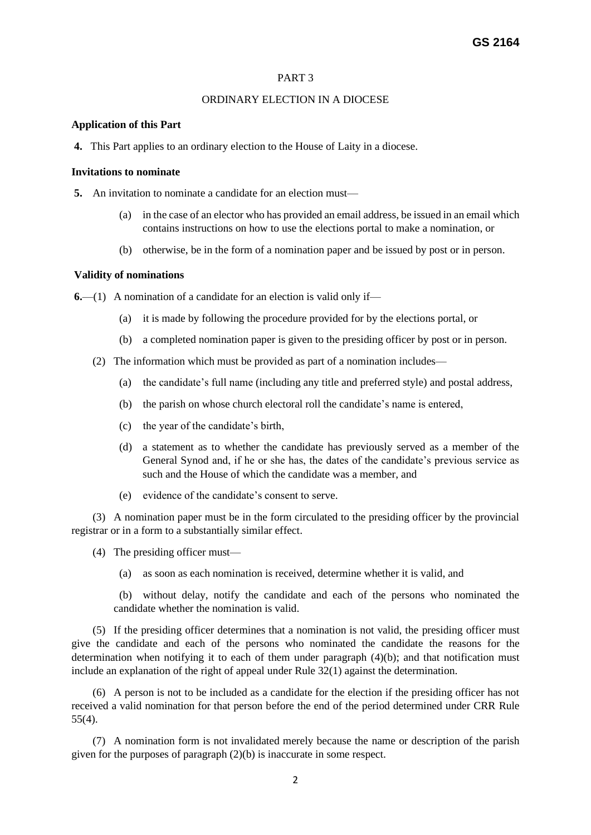### ORDINARY ELECTION IN A DIOCESE

### **Application of this Part**

**4.** This Part applies to an ordinary election to the House of Laity in a diocese.

### **Invitations to nominate**

**5.** An invitation to nominate a candidate for an election must—

- (a) in the case of an elector who has provided an email address, be issued in an email which contains instructions on how to use the elections portal to make a nomination, or
- (b) otherwise, be in the form of a nomination paper and be issued by post or in person.

### **Validity of nominations**

**6.**—(1) A nomination of a candidate for an election is valid only if—

- (a) it is made by following the procedure provided for by the elections portal, or
- (b) a completed nomination paper is given to the presiding officer by post or in person.
- (2) The information which must be provided as part of a nomination includes—
	- (a) the candidate's full name (including any title and preferred style) and postal address,
	- (b) the parish on whose church electoral roll the candidate's name is entered,
	- (c) the year of the candidate's birth,
	- (d) a statement as to whether the candidate has previously served as a member of the General Synod and, if he or she has, the dates of the candidate's previous service as such and the House of which the candidate was a member, and
	- (e) evidence of the candidate's consent to serve.

(3) A nomination paper must be in the form circulated to the presiding officer by the provincial registrar or in a form to a substantially similar effect.

- (4) The presiding officer must—
	- (a) as soon as each nomination is received, determine whether it is valid, and

 (b) without delay, notify the candidate and each of the persons who nominated the candidate whether the nomination is valid.

(5) If the presiding officer determines that a nomination is not valid, the presiding officer must give the candidate and each of the persons who nominated the candidate the reasons for the determination when notifying it to each of them under paragraph (4)(b); and that notification must include an explanation of the right of appeal under Rule 32(1) against the determination.

(6) A person is not to be included as a candidate for the election if the presiding officer has not received a valid nomination for that person before the end of the period determined under CRR Rule 55(4).

(7) A nomination form is not invalidated merely because the name or description of the parish given for the purposes of paragraph (2)(b) is inaccurate in some respect.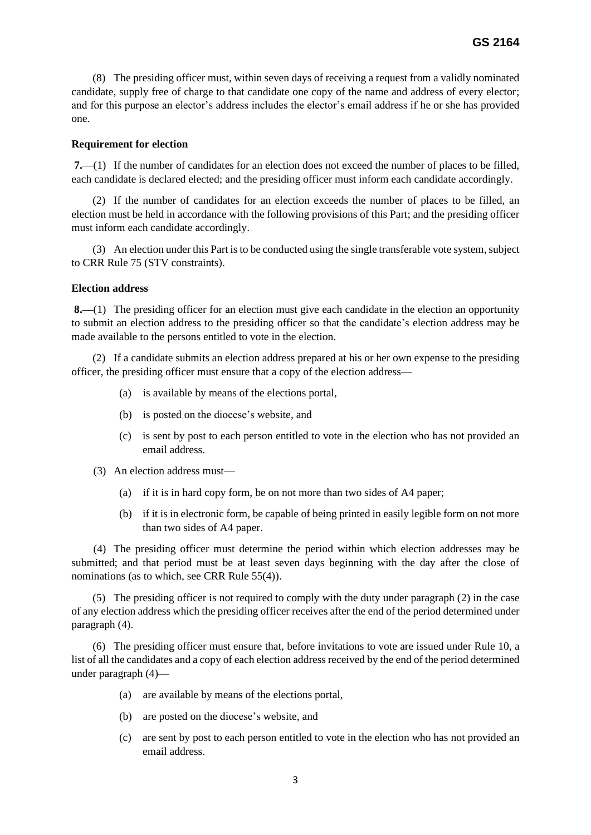(8) The presiding officer must, within seven days of receiving a request from a validly nominated candidate, supply free of charge to that candidate one copy of the name and address of every elector; and for this purpose an elector's address includes the elector's email address if he or she has provided one.

### **Requirement for election**

**7.**—(1) If the number of candidates for an election does not exceed the number of places to be filled, each candidate is declared elected; and the presiding officer must inform each candidate accordingly.

(2) If the number of candidates for an election exceeds the number of places to be filled, an election must be held in accordance with the following provisions of this Part; and the presiding officer must inform each candidate accordingly.

(3) An election under this Part is to be conducted using the single transferable vote system, subject to CRR Rule 75 (STV constraints).

### **Election address**

**8.—**(1) The presiding officer for an election must give each candidate in the election an opportunity to submit an election address to the presiding officer so that the candidate's election address may be made available to the persons entitled to vote in the election.

(2) If a candidate submits an election address prepared at his or her own expense to the presiding officer, the presiding officer must ensure that a copy of the election address—

- (a) is available by means of the elections portal,
- (b) is posted on the diocese's website, and
- (c) is sent by post to each person entitled to vote in the election who has not provided an email address.
- (3) An election address must—
	- (a) if it is in hard copy form, be on not more than two sides of A4 paper;
	- (b) if it is in electronic form, be capable of being printed in easily legible form on not more than two sides of A4 paper.

 (4) The presiding officer must determine the period within which election addresses may be submitted; and that period must be at least seven days beginning with the day after the close of nominations (as to which, see CRR Rule 55(4)).

(5) The presiding officer is not required to comply with the duty under paragraph (2) in the case of any election address which the presiding officer receives after the end of the period determined under paragraph (4).

(6) The presiding officer must ensure that, before invitations to vote are issued under Rule 10, a list of all the candidates and a copy of each election address received by the end of the period determined under paragraph (4)—

- (a) are available by means of the elections portal,
- (b) are posted on the diocese's website, and
- (c) are sent by post to each person entitled to vote in the election who has not provided an email address.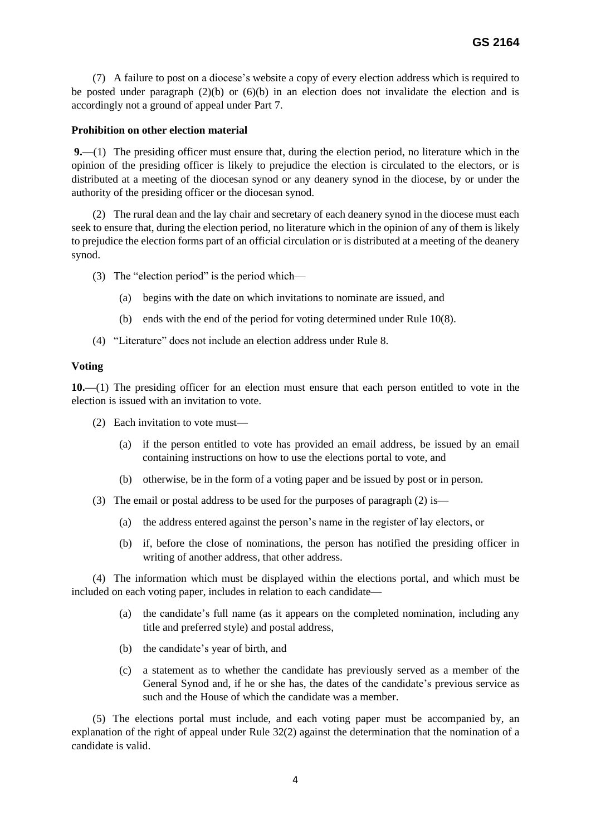(7) A failure to post on a diocese's website a copy of every election address which is required to be posted under paragraph (2)(b) or (6)(b) in an election does not invalidate the election and is accordingly not a ground of appeal under Part 7.

# **Prohibition on other election material**

**9.—**(1) The presiding officer must ensure that, during the election period, no literature which in the opinion of the presiding officer is likely to prejudice the election is circulated to the electors, or is distributed at a meeting of the diocesan synod or any deanery synod in the diocese, by or under the authority of the presiding officer or the diocesan synod.

(2) The rural dean and the lay chair and secretary of each deanery synod in the diocese must each seek to ensure that, during the election period, no literature which in the opinion of any of them is likely to prejudice the election forms part of an official circulation or is distributed at a meeting of the deanery synod.

(3) The "election period" is the period which—

- (a) begins with the date on which invitations to nominate are issued, and
- (b) ends with the end of the period for voting determined under Rule 10(8).
- (4) "Literature" does not include an election address under Rule 8.

# **Voting**

**10.—**(1) The presiding officer for an election must ensure that each person entitled to vote in the election is issued with an invitation to vote.

- (2) Each invitation to vote must—
	- (a) if the person entitled to vote has provided an email address, be issued by an email containing instructions on how to use the elections portal to vote, and
	- (b) otherwise, be in the form of a voting paper and be issued by post or in person.
- (3) The email or postal address to be used for the purposes of paragraph (2) is—
	- (a) the address entered against the person's name in the register of lay electors, or
	- (b) if, before the close of nominations, the person has notified the presiding officer in writing of another address, that other address.

(4) The information which must be displayed within the elections portal, and which must be included on each voting paper, includes in relation to each candidate—

- (a) the candidate's full name (as it appears on the completed nomination, including any title and preferred style) and postal address,
- (b) the candidate's year of birth, and
- (c) a statement as to whether the candidate has previously served as a member of the General Synod and, if he or she has, the dates of the candidate's previous service as such and the House of which the candidate was a member.

 (5) The elections portal must include, and each voting paper must be accompanied by, an explanation of the right of appeal under Rule 32(2) against the determination that the nomination of a candidate is valid.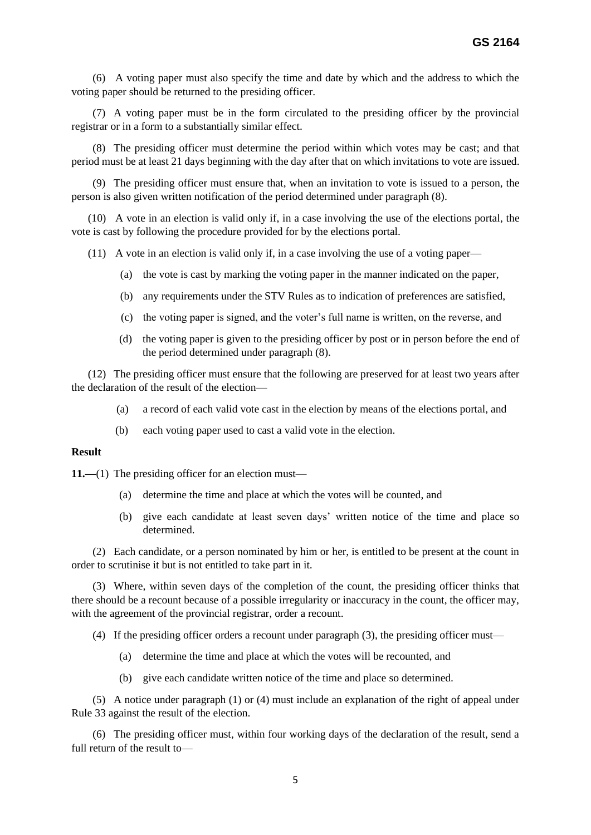(6) A voting paper must also specify the time and date by which and the address to which the voting paper should be returned to the presiding officer.

(7) A voting paper must be in the form circulated to the presiding officer by the provincial registrar or in a form to a substantially similar effect.

(8) The presiding officer must determine the period within which votes may be cast; and that period must be at least 21 days beginning with the day after that on which invitations to vote are issued.

(9) The presiding officer must ensure that, when an invitation to vote is issued to a person, the person is also given written notification of the period determined under paragraph (8).

 (10) A vote in an election is valid only if, in a case involving the use of the elections portal, the vote is cast by following the procedure provided for by the elections portal.

(11) A vote in an election is valid only if, in a case involving the use of a voting paper—

- (a) the vote is cast by marking the voting paper in the manner indicated on the paper,
- (b) any requirements under the STV Rules as to indication of preferences are satisfied,
- (c) the voting paper is signed, and the voter's full name is written, on the reverse, and
- (d) the voting paper is given to the presiding officer by post or in person before the end of the period determined under paragraph (8).

 (12) The presiding officer must ensure that the following are preserved for at least two years after the declaration of the result of the election—

- (a) a record of each valid vote cast in the election by means of the elections portal, and
- (b) each voting paper used to cast a valid vote in the election.

# **Result**

**11.—(1)** The presiding officer for an election must—

- (a) determine the time and place at which the votes will be counted, and
- (b) give each candidate at least seven days' written notice of the time and place so determined.

(2) Each candidate, or a person nominated by him or her, is entitled to be present at the count in order to scrutinise it but is not entitled to take part in it.

(3) Where, within seven days of the completion of the count, the presiding officer thinks that there should be a recount because of a possible irregularity or inaccuracy in the count, the officer may, with the agreement of the provincial registrar, order a recount.

(4) If the presiding officer orders a recount under paragraph (3), the presiding officer must—

- (a) determine the time and place at which the votes will be recounted, and
- (b) give each candidate written notice of the time and place so determined.

(5) A notice under paragraph (1) or (4) must include an explanation of the right of appeal under Rule 33 against the result of the election.

(6) The presiding officer must, within four working days of the declaration of the result, send a full return of the result to—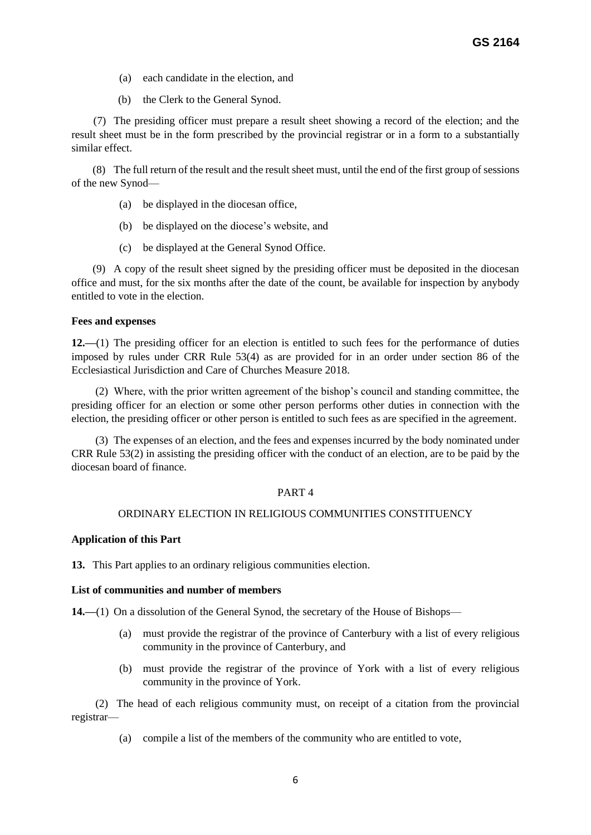- (a) each candidate in the election, and
- (b) the Clerk to the General Synod.

 (7) The presiding officer must prepare a result sheet showing a record of the election; and the result sheet must be in the form prescribed by the provincial registrar or in a form to a substantially similar effect.

(8) The full return of the result and the result sheet must, until the end of the first group of sessions of the new Synod—

- (a) be displayed in the diocesan office,
- (b) be displayed on the diocese's website, and
- (c) be displayed at the General Synod Office.

 (9) A copy of the result sheet signed by the presiding officer must be deposited in the diocesan office and must, for the six months after the date of the count, be available for inspection by anybody entitled to vote in the election.

### **Fees and expenses**

**12.—**(1) The presiding officer for an election is entitled to such fees for the performance of duties imposed by rules under CRR Rule 53(4) as are provided for in an order under section 86 of the Ecclesiastical Jurisdiction and Care of Churches Measure 2018.

(2) Where, with the prior written agreement of the bishop's council and standing committee, the presiding officer for an election or some other person performs other duties in connection with the election, the presiding officer or other person is entitled to such fees as are specified in the agreement.

(3) The expenses of an election, and the fees and expenses incurred by the body nominated under CRR Rule 53(2) in assisting the presiding officer with the conduct of an election, are to be paid by the diocesan board of finance.

### PART 4

### ORDINARY ELECTION IN RELIGIOUS COMMUNITIES CONSTITUENCY

### **Application of this Part**

**13.** This Part applies to an ordinary religious communities election.

### **List of communities and number of members**

14.—(1) On a dissolution of the General Synod, the secretary of the House of Bishops—

- (a) must provide the registrar of the province of Canterbury with a list of every religious community in the province of Canterbury, and
- (b) must provide the registrar of the province of York with a list of every religious community in the province of York.

(2) The head of each religious community must, on receipt of a citation from the provincial registrar—

(a) compile a list of the members of the community who are entitled to vote,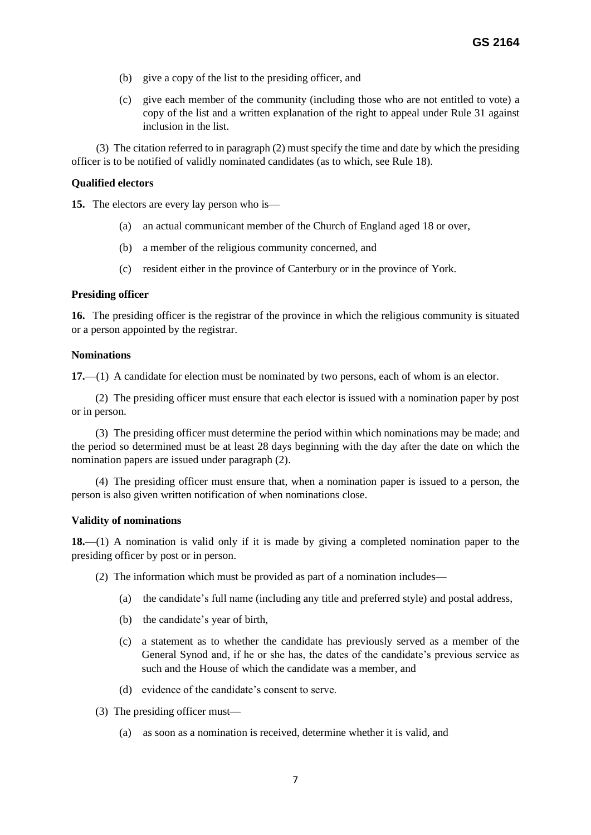- (b) give a copy of the list to the presiding officer, and
- (c) give each member of the community (including those who are not entitled to vote) a copy of the list and a written explanation of the right to appeal under Rule 31 against inclusion in the list.

 (3) The citation referred to in paragraph (2) must specify the time and date by which the presiding officer is to be notified of validly nominated candidates (as to which, see Rule 18).

### **Qualified electors**

**15.** The electors are every lay person who is—

- (a) an actual communicant member of the Church of England aged 18 or over,
- (b) a member of the religious community concerned, and
- (c) resident either in the province of Canterbury or in the province of York.

### **Presiding officer**

**16.** The presiding officer is the registrar of the province in which the religious community is situated or a person appointed by the registrar.

### **Nominations**

**17.**—(1) A candidate for election must be nominated by two persons, each of whom is an elector.

(2) The presiding officer must ensure that each elector is issued with a nomination paper by post or in person.

(3) The presiding officer must determine the period within which nominations may be made; and the period so determined must be at least 28 days beginning with the day after the date on which the nomination papers are issued under paragraph (2).

(4) The presiding officer must ensure that, when a nomination paper is issued to a person, the person is also given written notification of when nominations close.

### **Validity of nominations**

**18.**—(1) A nomination is valid only if it is made by giving a completed nomination paper to the presiding officer by post or in person.

- (2) The information which must be provided as part of a nomination includes—
	- (a) the candidate's full name (including any title and preferred style) and postal address,
	- (b) the candidate's year of birth,
	- (c) a statement as to whether the candidate has previously served as a member of the General Synod and, if he or she has, the dates of the candidate's previous service as such and the House of which the candidate was a member, and
	- (d) evidence of the candidate's consent to serve.
- (3) The presiding officer must—
	- (a) as soon as a nomination is received, determine whether it is valid, and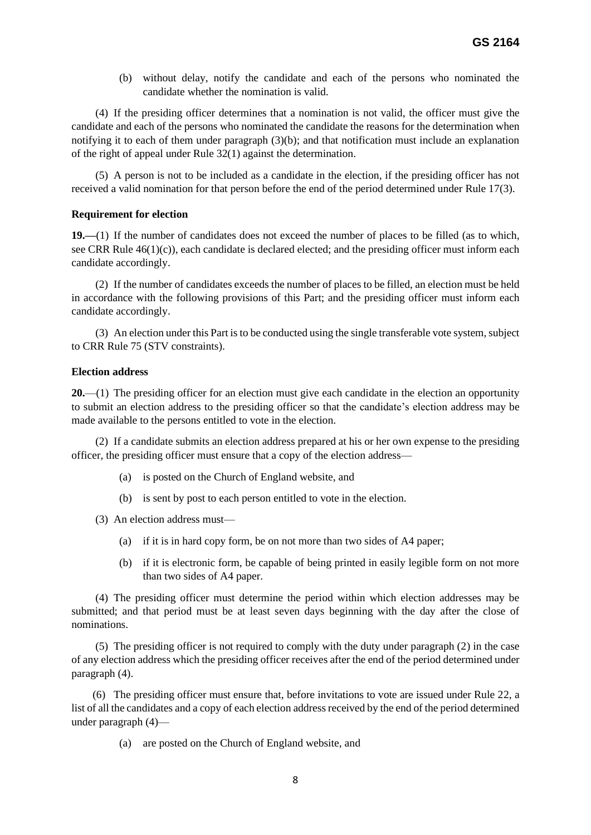(b) without delay, notify the candidate and each of the persons who nominated the candidate whether the nomination is valid.

(4) If the presiding officer determines that a nomination is not valid, the officer must give the candidate and each of the persons who nominated the candidate the reasons for the determination when notifying it to each of them under paragraph (3)(b); and that notification must include an explanation of the right of appeal under Rule 32(1) against the determination.

(5) A person is not to be included as a candidate in the election, if the presiding officer has not received a valid nomination for that person before the end of the period determined under Rule 17(3).

### **Requirement for election**

**19.—**(1) If the number of candidates does not exceed the number of places to be filled (as to which, see CRR Rule 46(1)(c)), each candidate is declared elected; and the presiding officer must inform each candidate accordingly.

(2) If the number of candidates exceeds the number of places to be filled, an election must be held in accordance with the following provisions of this Part; and the presiding officer must inform each candidate accordingly.

(3) An election under this Part is to be conducted using the single transferable vote system, subject to CRR Rule 75 (STV constraints).

### **Election address**

**20.**—(1) The presiding officer for an election must give each candidate in the election an opportunity to submit an election address to the presiding officer so that the candidate's election address may be made available to the persons entitled to vote in the election.

(2) If a candidate submits an election address prepared at his or her own expense to the presiding officer, the presiding officer must ensure that a copy of the election address—

- (a) is posted on the Church of England website, and
- (b) is sent by post to each person entitled to vote in the election.

(3) An election address must—

- (a) if it is in hard copy form, be on not more than two sides of A4 paper;
- (b) if it is electronic form, be capable of being printed in easily legible form on not more than two sides of A4 paper.

(4) The presiding officer must determine the period within which election addresses may be submitted; and that period must be at least seven days beginning with the day after the close of nominations.

(5) The presiding officer is not required to comply with the duty under paragraph (2) in the case of any election address which the presiding officer receives after the end of the period determined under paragraph (4).

(6) The presiding officer must ensure that, before invitations to vote are issued under Rule 22, a list of all the candidates and a copy of each election address received by the end of the period determined under paragraph (4)—

(a) are posted on the Church of England website, and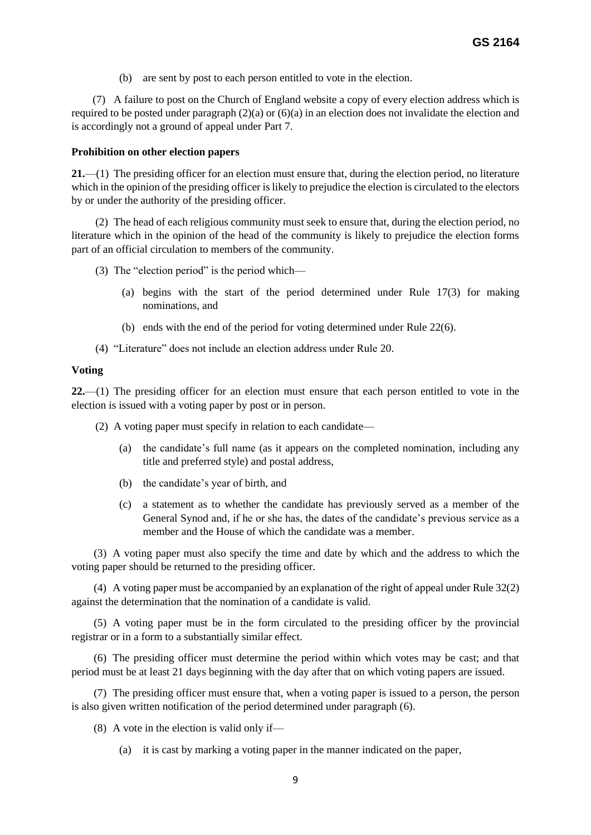(b) are sent by post to each person entitled to vote in the election.

 (7) A failure to post on the Church of England website a copy of every election address which is required to be posted under paragraph (2)(a) or (6)(a) in an election does not invalidate the election and is accordingly not a ground of appeal under Part 7.

### **Prohibition on other election papers**

**21.**—(1) The presiding officer for an election must ensure that, during the election period, no literature which in the opinion of the presiding officer is likely to prejudice the election is circulated to the electors by or under the authority of the presiding officer.

(2) The head of each religious community must seek to ensure that, during the election period, no literature which in the opinion of the head of the community is likely to prejudice the election forms part of an official circulation to members of the community.

- (3) The "election period" is the period which—
	- (a) begins with the start of the period determined under Rule 17(3) for making nominations, and
	- (b) ends with the end of the period for voting determined under Rule 22(6).
- (4) "Literature" does not include an election address under Rule 20.

### **Voting**

**22.**—(1) The presiding officer for an election must ensure that each person entitled to vote in the election is issued with a voting paper by post or in person.

- (2) A voting paper must specify in relation to each candidate—
	- (a) the candidate's full name (as it appears on the completed nomination, including any title and preferred style) and postal address,
	- (b) the candidate's year of birth, and
	- (c) a statement as to whether the candidate has previously served as a member of the General Synod and, if he or she has, the dates of the candidate's previous service as a member and the House of which the candidate was a member.

 (3) A voting paper must also specify the time and date by which and the address to which the voting paper should be returned to the presiding officer.

 (4) A voting paper must be accompanied by an explanation of the right of appeal under Rule 32(2) against the determination that the nomination of a candidate is valid.

 (5) A voting paper must be in the form circulated to the presiding officer by the provincial registrar or in a form to a substantially similar effect.

 (6) The presiding officer must determine the period within which votes may be cast; and that period must be at least 21 days beginning with the day after that on which voting papers are issued.

 (7) The presiding officer must ensure that, when a voting paper is issued to a person, the person is also given written notification of the period determined under paragraph (6).

(8) A vote in the election is valid only if—

(a) it is cast by marking a voting paper in the manner indicated on the paper,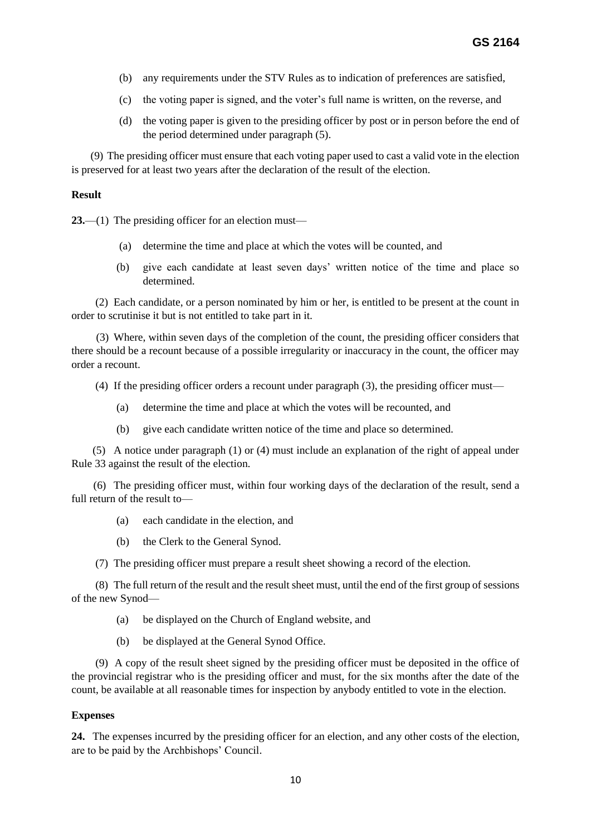- (b) any requirements under the STV Rules as to indication of preferences are satisfied,
- (c) the voting paper is signed, and the voter's full name is written, on the reverse, and
- (d) the voting paper is given to the presiding officer by post or in person before the end of the period determined under paragraph (5).

 (9) The presiding officer must ensure that each voting paper used to cast a valid vote in the election is preserved for at least two years after the declaration of the result of the election.

# **Result**

**23.**—(1) The presiding officer for an election must—

- (a) determine the time and place at which the votes will be counted, and
- (b) give each candidate at least seven days' written notice of the time and place so determined.

(2) Each candidate, or a person nominated by him or her, is entitled to be present at the count in order to scrutinise it but is not entitled to take part in it.

 (3) Where, within seven days of the completion of the count, the presiding officer considers that there should be a recount because of a possible irregularity or inaccuracy in the count, the officer may order a recount.

- (4) If the presiding officer orders a recount under paragraph (3), the presiding officer must—
	- (a) determine the time and place at which the votes will be recounted, and
	- (b) give each candidate written notice of the time and place so determined.

(5) A notice under paragraph (1) or (4) must include an explanation of the right of appeal under Rule 33 against the result of the election.

 (6) The presiding officer must, within four working days of the declaration of the result, send a full return of the result to—

- (a) each candidate in the election, and
- (b) the Clerk to the General Synod.
- (7) The presiding officer must prepare a result sheet showing a record of the election.

(8) The full return of the result and the result sheet must, until the end of the first group of sessions of the new Synod—

- (a) be displayed on the Church of England website, and
- (b) be displayed at the General Synod Office.

(9) A copy of the result sheet signed by the presiding officer must be deposited in the office of the provincial registrar who is the presiding officer and must, for the six months after the date of the count, be available at all reasonable times for inspection by anybody entitled to vote in the election.

# **Expenses**

**24.** The expenses incurred by the presiding officer for an election, and any other costs of the election, are to be paid by the Archbishops' Council.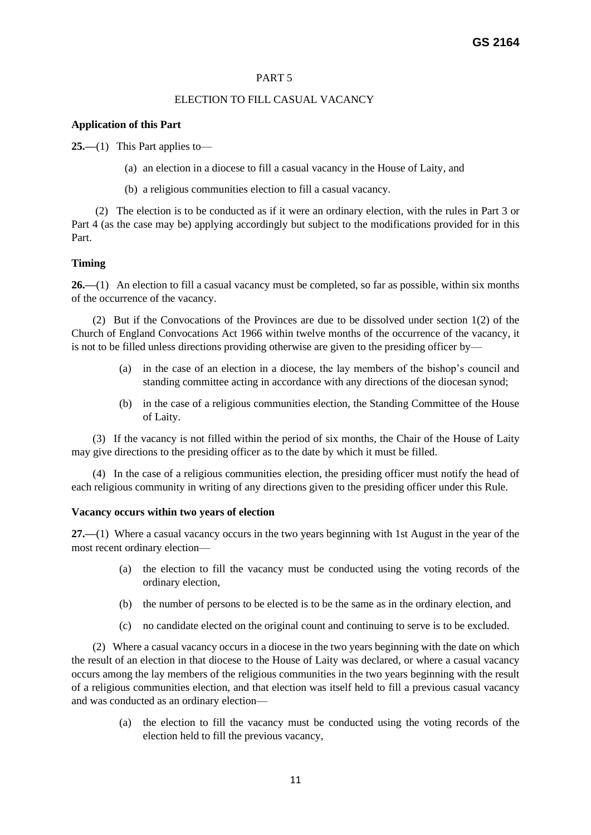# ELECTION TO FILL CASUAL VACANCY

# **Application of this Part**

**25.—**(1) This Part applies to—

- (a) an election in a diocese to fill a casual vacancy in the House of Laity, and
- (b) a religious communities election to fill a casual vacancy.

(2) The election is to be conducted as if it were an ordinary election, with the rules in Part 3 or Part 4 (as the case may be) applying accordingly but subject to the modifications provided for in this Part.

# **Timing**

**26.—**(1) An election to fill a casual vacancy must be completed, so far as possible, within six months of the occurrence of the vacancy.

(2) But if the Convocations of the Provinces are due to be dissolved under section 1(2) of the Church of England Convocations Act 1966 within twelve months of the occurrence of the vacancy, it is not to be filled unless directions providing otherwise are given to the presiding officer by—

- (a) in the case of an election in a diocese, the lay members of the bishop's council and standing committee acting in accordance with any directions of the diocesan synod;
- (b) in the case of a religious communities election, the Standing Committee of the House of Laity.

(3) If the vacancy is not filled within the period of six months, the Chair of the House of Laity may give directions to the presiding officer as to the date by which it must be filled.

(4) In the case of a religious communities election, the presiding officer must notify the head of each religious community in writing of any directions given to the presiding officer under this Rule.

# **Vacancy occurs within two years of election**

**27.—**(1) Where a casual vacancy occurs in the two years beginning with 1st August in the year of the most recent ordinary election—

- (a) the election to fill the vacancy must be conducted using the voting records of the ordinary election,
- (b) the number of persons to be elected is to be the same as in the ordinary election, and
- (c) no candidate elected on the original count and continuing to serve is to be excluded.

(2) Where a casual vacancy occurs in a diocese in the two years beginning with the date on which the result of an election in that diocese to the House of Laity was declared, or where a casual vacancy occurs among the lay members of the religious communities in the two years beginning with the result of a religious communities election, and that election was itself held to fill a previous casual vacancy and was conducted as an ordinary election—

> (a) the election to fill the vacancy must be conducted using the voting records of the election held to fill the previous vacancy,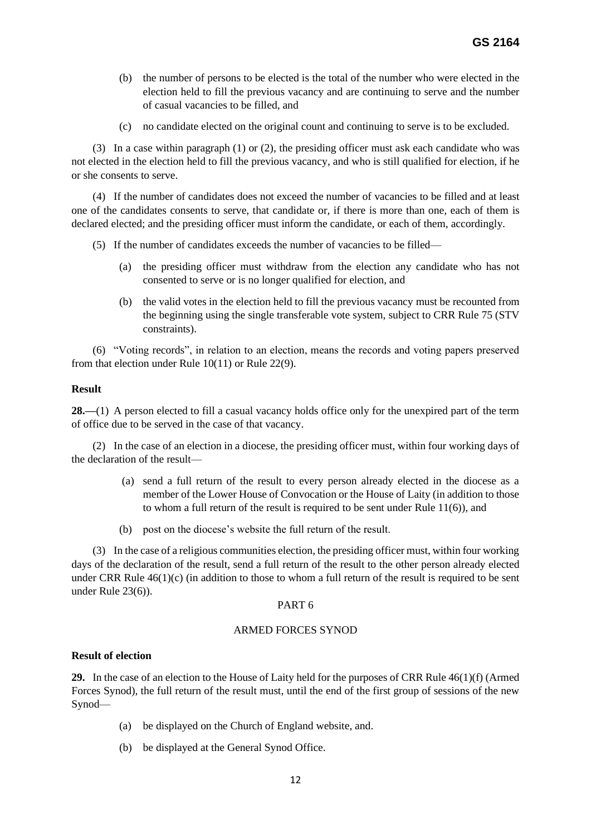- (b) the number of persons to be elected is the total of the number who were elected in the election held to fill the previous vacancy and are continuing to serve and the number of casual vacancies to be filled, and
- (c) no candidate elected on the original count and continuing to serve is to be excluded.

(3) In a case within paragraph (1) or (2), the presiding officer must ask each candidate who was not elected in the election held to fill the previous vacancy, and who is still qualified for election, if he or she consents to serve.

(4) If the number of candidates does not exceed the number of vacancies to be filled and at least one of the candidates consents to serve, that candidate or, if there is more than one, each of them is declared elected; and the presiding officer must inform the candidate, or each of them, accordingly.

- (5) If the number of candidates exceeds the number of vacancies to be filled—
	- (a) the presiding officer must withdraw from the election any candidate who has not consented to serve or is no longer qualified for election, and
	- (b) the valid votes in the election held to fill the previous vacancy must be recounted from the beginning using the single transferable vote system, subject to CRR Rule 75 (STV constraints).

(6) "Voting records", in relation to an election, means the records and voting papers preserved from that election under Rule 10(11) or Rule 22(9).

# **Result**

**28.—**(1) A person elected to fill a casual vacancy holds office only for the unexpired part of the term of office due to be served in the case of that vacancy.

(2) In the case of an election in a diocese, the presiding officer must, within four working days of the declaration of the result—

- (a) send a full return of the result to every person already elected in the diocese as a member of the Lower House of Convocation or the House of Laity (in addition to those to whom a full return of the result is required to be sent under Rule 11(6)), and
- (b) post on the diocese's website the full return of the result.

(3) In the case of a religious communities election, the presiding officer must, within four working days of the declaration of the result, send a full return of the result to the other person already elected under CRR Rule 46(1)(c) (in addition to those to whom a full return of the result is required to be sent under Rule 23(6)).

# PART 6

# ARMED FORCES SYNOD

# **Result of election**

**29.** In the case of an election to the House of Laity held for the purposes of CRR Rule 46(1)(f) (Armed Forces Synod), the full return of the result must, until the end of the first group of sessions of the new Synod—

- (a) be displayed on the Church of England website, and.
- (b) be displayed at the General Synod Office.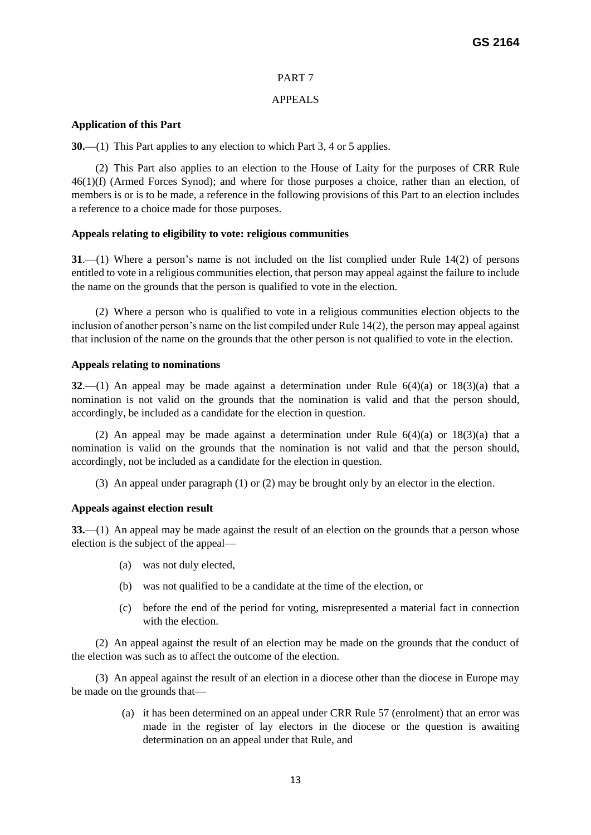# APPEALS

# **Application of this Part**

**30.—**(1) This Part applies to any election to which Part 3, 4 or 5 applies.

(2) This Part also applies to an election to the House of Laity for the purposes of CRR Rule 46(1)(f) (Armed Forces Synod); and where for those purposes a choice, rather than an election, of members is or is to be made, a reference in the following provisions of this Part to an election includes a reference to a choice made for those purposes.

# **Appeals relating to eligibility to vote: religious communities**

**31**.—(1) Where a person's name is not included on the list complied under Rule 14(2) of persons entitled to vote in a religious communities election, that person may appeal against the failure to include the name on the grounds that the person is qualified to vote in the election.

(2) Where a person who is qualified to vote in a religious communities election objects to the inclusion of another person's name on the list compiled under Rule 14(2), the person may appeal against that inclusion of the name on the grounds that the other person is not qualified to vote in the election.

# **Appeals relating to nominations**

**32**.—(1) An appeal may be made against a determination under Rule 6(4)(a) or 18(3)(a) that a nomination is not valid on the grounds that the nomination is valid and that the person should, accordingly, be included as a candidate for the election in question.

(2) An appeal may be made against a determination under Rule  $6(4)(a)$  or  $18(3)(a)$  that a nomination is valid on the grounds that the nomination is not valid and that the person should, accordingly, not be included as a candidate for the election in question.

(3) An appeal under paragraph (1) or (2) may be brought only by an elector in the election.

# **Appeals against election result**

**33.**—(1) An appeal may be made against the result of an election on the grounds that a person whose election is the subject of the appeal—

- (a) was not duly elected,
- (b) was not qualified to be a candidate at the time of the election, or
- (c) before the end of the period for voting, misrepresented a material fact in connection with the election.

(2) An appeal against the result of an election may be made on the grounds that the conduct of the election was such as to affect the outcome of the election.

(3) An appeal against the result of an election in a diocese other than the diocese in Europe may be made on the grounds that—

> (a) it has been determined on an appeal under CRR Rule 57 (enrolment) that an error was made in the register of lay electors in the diocese or the question is awaiting determination on an appeal under that Rule, and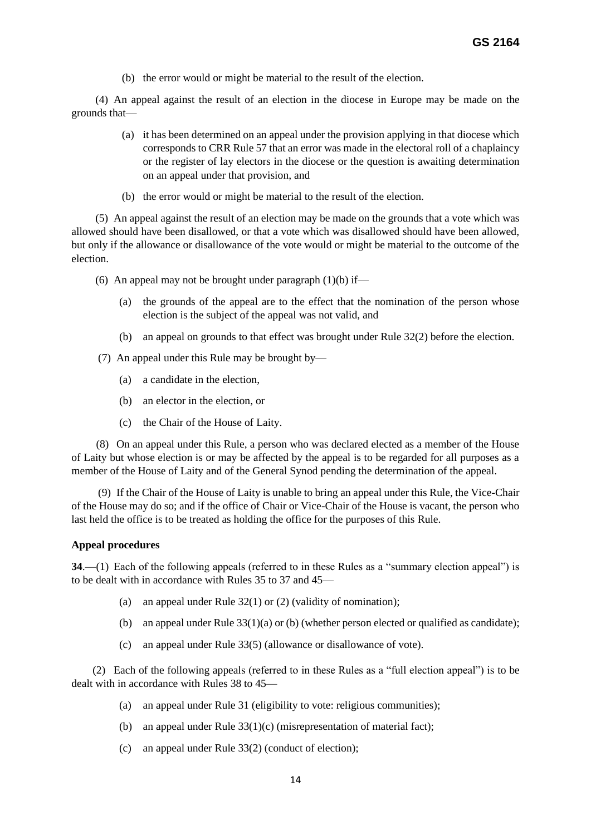(b) the error would or might be material to the result of the election.

(4) An appeal against the result of an election in the diocese in Europe may be made on the grounds that—

- (a) it has been determined on an appeal under the provision applying in that diocese which corresponds to CRR Rule 57 that an error was made in the electoral roll of a chaplaincy or the register of lay electors in the diocese or the question is awaiting determination on an appeal under that provision, and
- (b) the error would or might be material to the result of the election.

(5) An appeal against the result of an election may be made on the grounds that a vote which was allowed should have been disallowed, or that a vote which was disallowed should have been allowed, but only if the allowance or disallowance of the vote would or might be material to the outcome of the election.

- (6) An appeal may not be brought under paragraph  $(1)(b)$  if—
	- (a) the grounds of the appeal are to the effect that the nomination of the person whose election is the subject of the appeal was not valid, and
	- (b) an appeal on grounds to that effect was brought under Rule 32(2) before the election.
- (7) An appeal under this Rule may be brought by—
	- (a) a candidate in the election,
	- (b) an elector in the election, or
	- (c) the Chair of the House of Laity.

 (8) On an appeal under this Rule, a person who was declared elected as a member of the House of Laity but whose election is or may be affected by the appeal is to be regarded for all purposes as a member of the House of Laity and of the General Synod pending the determination of the appeal.

 (9) If the Chair of the House of Laity is unable to bring an appeal under this Rule, the Vice-Chair of the House may do so; and if the office of Chair or Vice-Chair of the House is vacant, the person who last held the office is to be treated as holding the office for the purposes of this Rule.

### **Appeal procedures**

**34**.—(1) Each of the following appeals (referred to in these Rules as a "summary election appeal") is to be dealt with in accordance with Rules 35 to 37 and 45—

- (a) an appeal under Rule  $32(1)$  or  $(2)$  (validity of nomination);
- (b) an appeal under Rule  $33(1)(a)$  or (b) (whether person elected or qualified as candidate);
- (c) an appeal under Rule 33(5) (allowance or disallowance of vote).

(2) Each of the following appeals (referred to in these Rules as a "full election appeal") is to be dealt with in accordance with Rules 38 to 45—

- (a) an appeal under Rule 31 (eligibility to vote: religious communities);
- (b) an appeal under Rule 33(1)(c) (misrepresentation of material fact);
- (c) an appeal under Rule 33(2) (conduct of election);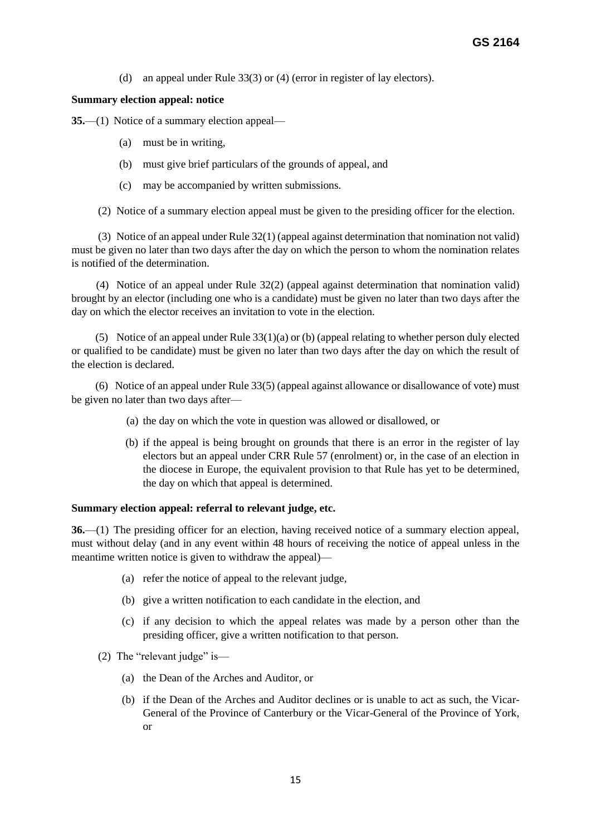(d) an appeal under Rule 33(3) or (4) (error in register of lay electors).

# **Summary election appeal: notice**

**35.**—(1) Notice of a summary election appeal—

- (a) must be in writing,
- (b) must give brief particulars of the grounds of appeal, and
- (c) may be accompanied by written submissions.

(2) Notice of a summary election appeal must be given to the presiding officer for the election.

(3) Notice of an appeal under Rule 32(1) (appeal against determination that nomination not valid) must be given no later than two days after the day on which the person to whom the nomination relates is notified of the determination.

 (4) Notice of an appeal under Rule 32(2) (appeal against determination that nomination valid) brought by an elector (including one who is a candidate) must be given no later than two days after the day on which the elector receives an invitation to vote in the election.

(5) Notice of an appeal under Rule 33(1)(a) or (b) (appeal relating to whether person duly elected or qualified to be candidate) must be given no later than two days after the day on which the result of the election is declared.

(6) Notice of an appeal under Rule 33(5) (appeal against allowance or disallowance of vote) must be given no later than two days after—

- (a) the day on which the vote in question was allowed or disallowed, or
- (b) if the appeal is being brought on grounds that there is an error in the register of lay electors but an appeal under CRR Rule 57 (enrolment) or, in the case of an election in the diocese in Europe, the equivalent provision to that Rule has yet to be determined, the day on which that appeal is determined.

# **Summary election appeal: referral to relevant judge, etc.**

**36.**—(1) The presiding officer for an election, having received notice of a summary election appeal, must without delay (and in any event within 48 hours of receiving the notice of appeal unless in the meantime written notice is given to withdraw the appeal)—

- (a) refer the notice of appeal to the relevant judge,
- (b) give a written notification to each candidate in the election, and
- (c) if any decision to which the appeal relates was made by a person other than the presiding officer, give a written notification to that person.
- (2) The "relevant judge" is—
	- (a) the Dean of the Arches and Auditor, or
	- (b) if the Dean of the Arches and Auditor declines or is unable to act as such, the Vicar-General of the Province of Canterbury or the Vicar-General of the Province of York, or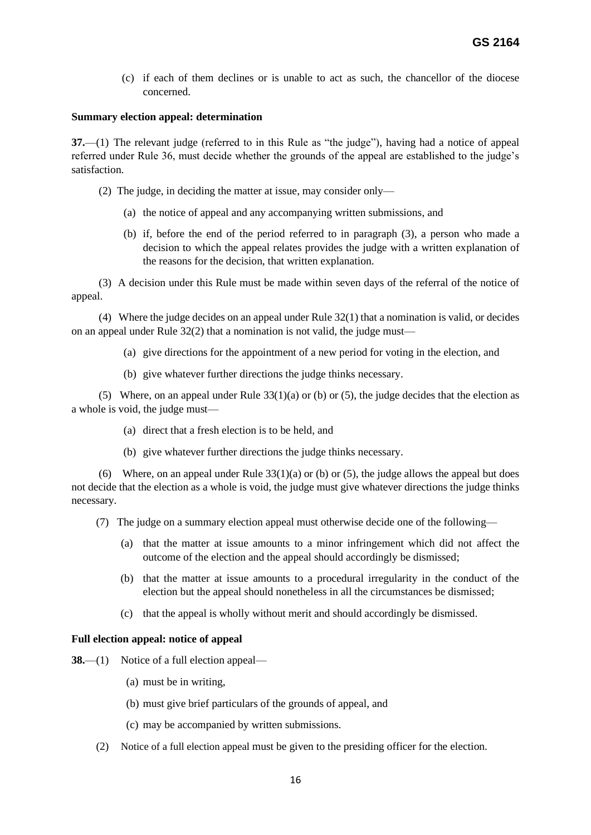(c) if each of them declines or is unable to act as such, the chancellor of the diocese concerned.

### **Summary election appeal: determination**

**37.**—(1) The relevant judge (referred to in this Rule as "the judge"), having had a notice of appeal referred under Rule 36, must decide whether the grounds of the appeal are established to the judge's satisfaction.

- (2) The judge, in deciding the matter at issue, may consider only—
	- (a) the notice of appeal and any accompanying written submissions, and
	- (b) if, before the end of the period referred to in paragraph (3), a person who made a decision to which the appeal relates provides the judge with a written explanation of the reasons for the decision, that written explanation.

 (3) A decision under this Rule must be made within seven days of the referral of the notice of appeal.

 (4) Where the judge decides on an appeal under Rule 32(1) that a nomination is valid, or decides on an appeal under Rule 32(2) that a nomination is not valid, the judge must—

- (a) give directions for the appointment of a new period for voting in the election, and
- (b) give whatever further directions the judge thinks necessary.

(5) Where, on an appeal under Rule  $33(1)(a)$  or (b) or (5), the judge decides that the election as a whole is void, the judge must—

- (a) direct that a fresh election is to be held, and
- (b) give whatever further directions the judge thinks necessary.

(6) Where, on an appeal under Rule  $33(1)(a)$  or (b) or (5), the judge allows the appeal but does not decide that the election as a whole is void, the judge must give whatever directions the judge thinks necessary.

(7) The judge on a summary election appeal must otherwise decide one of the following—

- (a) that the matter at issue amounts to a minor infringement which did not affect the outcome of the election and the appeal should accordingly be dismissed;
- (b) that the matter at issue amounts to a procedural irregularity in the conduct of the election but the appeal should nonetheless in all the circumstances be dismissed;
- (c) that the appeal is wholly without merit and should accordingly be dismissed.

### **Full election appeal: notice of appeal**

**38.**—(1) Notice of a full election appeal—

- (a) must be in writing,
- (b) must give brief particulars of the grounds of appeal, and
- (c) may be accompanied by written submissions.
- (2) Notice of a full election appeal must be given to the presiding officer for the election.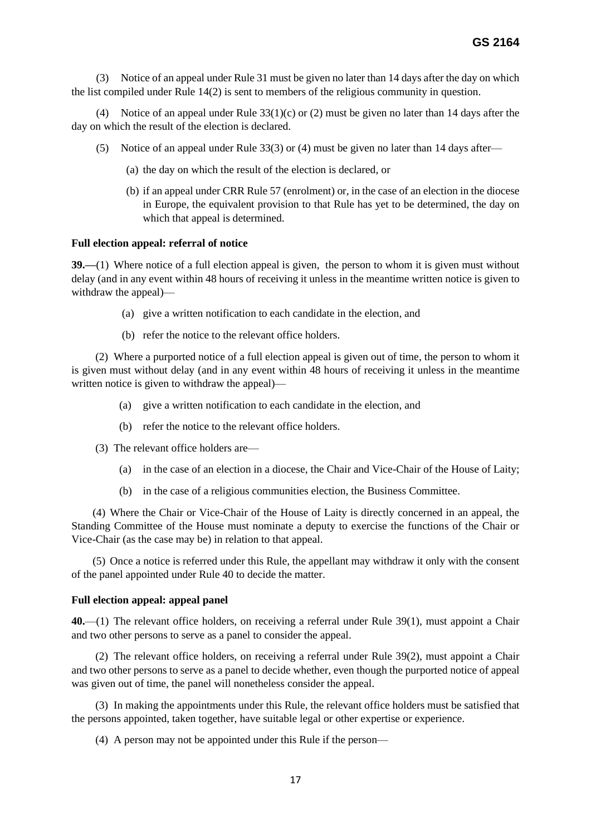(3) Notice of an appeal under Rule 31 must be given no later than 14 days after the day on which the list compiled under Rule 14(2) is sent to members of the religious community in question.

 (4) Notice of an appeal under Rule 33(1)(c) or (2) must be given no later than 14 days after the day on which the result of the election is declared.

- (5) Notice of an appeal under Rule 33(3) or (4) must be given no later than 14 days after—
	- (a) the day on which the result of the election is declared, or
	- (b) if an appeal under CRR Rule 57 (enrolment) or, in the case of an election in the diocese in Europe, the equivalent provision to that Rule has yet to be determined, the day on which that appeal is determined.

# **Full election appeal: referral of notice**

**39.—**(1) Where notice of a full election appeal is given, the person to whom it is given must without delay (and in any event within 48 hours of receiving it unless in the meantime written notice is given to withdraw the appeal)—

- (a) give a written notification to each candidate in the election, and
- (b) refer the notice to the relevant office holders.

(2) Where a purported notice of a full election appeal is given out of time, the person to whom it is given must without delay (and in any event within 48 hours of receiving it unless in the meantime written notice is given to withdraw the appeal)—

- (a) give a written notification to each candidate in the election, and
- (b) refer the notice to the relevant office holders.
- (3) The relevant office holders are—
	- (a) in the case of an election in a diocese, the Chair and Vice-Chair of the House of Laity;
	- (b) in the case of a religious communities election, the Business Committee.

(4) Where the Chair or Vice-Chair of the House of Laity is directly concerned in an appeal, the Standing Committee of the House must nominate a deputy to exercise the functions of the Chair or Vice-Chair (as the case may be) in relation to that appeal.

(5) Once a notice is referred under this Rule, the appellant may withdraw it only with the consent of the panel appointed under Rule 40 to decide the matter.

#### **Full election appeal: appeal panel**

**40.**—(1) The relevant office holders, on receiving a referral under Rule 39(1), must appoint a Chair and two other persons to serve as a panel to consider the appeal.

(2) The relevant office holders, on receiving a referral under Rule 39(2), must appoint a Chair and two other persons to serve as a panel to decide whether, even though the purported notice of appeal was given out of time, the panel will nonetheless consider the appeal.

(3) In making the appointments under this Rule, the relevant office holders must be satisfied that the persons appointed, taken together, have suitable legal or other expertise or experience.

(4) A person may not be appointed under this Rule if the person—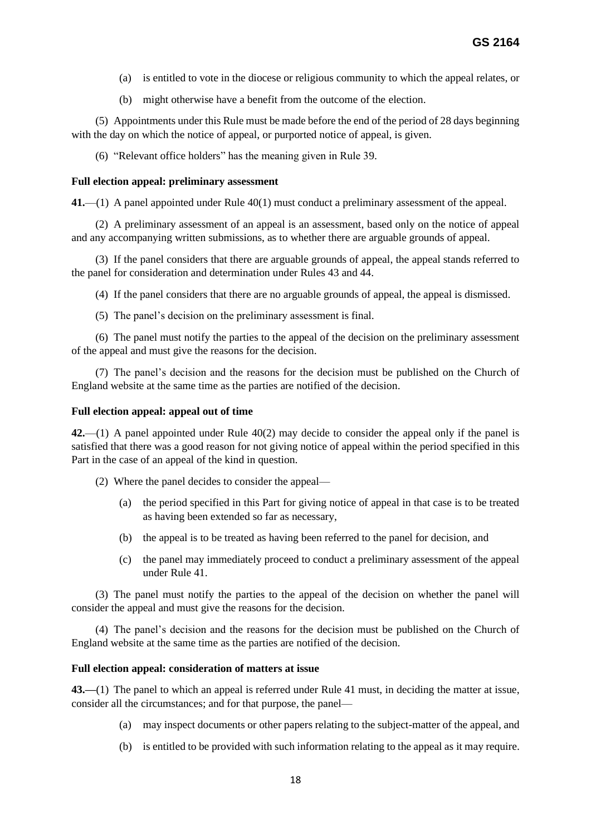- (a) is entitled to vote in the diocese or religious community to which the appeal relates, or
- (b) might otherwise have a benefit from the outcome of the election.

(5) Appointments under this Rule must be made before the end of the period of 28 days beginning with the day on which the notice of appeal, or purported notice of appeal, is given.

(6) "Relevant office holders" has the meaning given in Rule 39.

### **Full election appeal: preliminary assessment**

**41.**—(1) A panel appointed under Rule 40(1) must conduct a preliminary assessment of the appeal.

(2) A preliminary assessment of an appeal is an assessment, based only on the notice of appeal and any accompanying written submissions, as to whether there are arguable grounds of appeal.

(3) If the panel considers that there are arguable grounds of appeal, the appeal stands referred to the panel for consideration and determination under Rules 43 and 44.

(4) If the panel considers that there are no arguable grounds of appeal, the appeal is dismissed.

(5) The panel's decision on the preliminary assessment is final.

(6) The panel must notify the parties to the appeal of the decision on the preliminary assessment of the appeal and must give the reasons for the decision.

(7) The panel's decision and the reasons for the decision must be published on the Church of England website at the same time as the parties are notified of the decision.

# **Full election appeal: appeal out of time**

**42.**—(1) A panel appointed under Rule 40(2) may decide to consider the appeal only if the panel is satisfied that there was a good reason for not giving notice of appeal within the period specified in this Part in the case of an appeal of the kind in question.

- (2) Where the panel decides to consider the appeal—
	- (a) the period specified in this Part for giving notice of appeal in that case is to be treated as having been extended so far as necessary,
	- (b) the appeal is to be treated as having been referred to the panel for decision, and
	- (c) the panel may immediately proceed to conduct a preliminary assessment of the appeal under Rule 41.

(3) The panel must notify the parties to the appeal of the decision on whether the panel will consider the appeal and must give the reasons for the decision.

(4) The panel's decision and the reasons for the decision must be published on the Church of England website at the same time as the parties are notified of the decision.

# **Full election appeal: consideration of matters at issue**

**43.—**(1) The panel to which an appeal is referred under Rule 41 must, in deciding the matter at issue, consider all the circumstances; and for that purpose, the panel—

- (a) may inspect documents or other papers relating to the subject-matter of the appeal, and
- (b) is entitled to be provided with such information relating to the appeal as it may require.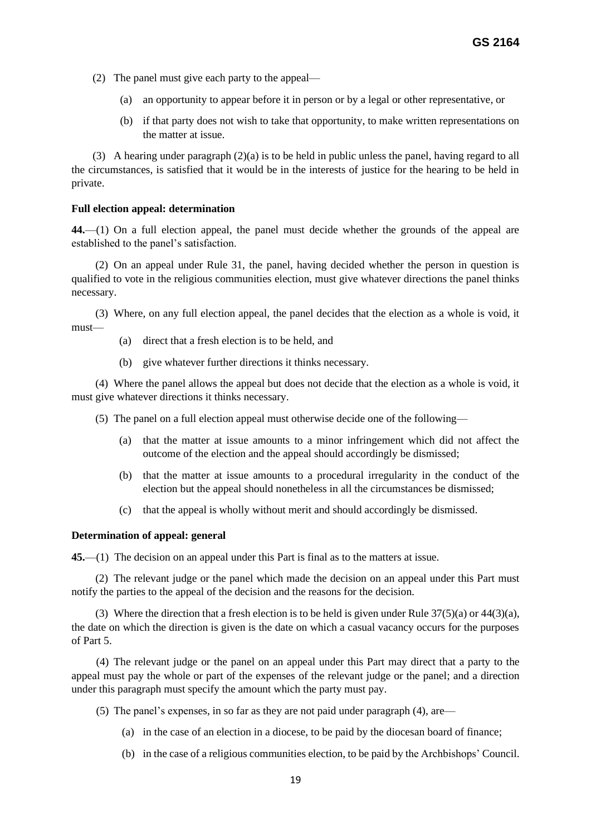- (2) The panel must give each party to the appeal—
	- (a) an opportunity to appear before it in person or by a legal or other representative, or
	- (b) if that party does not wish to take that opportunity, to make written representations on the matter at issue.

(3) A hearing under paragraph (2)(a) is to be held in public unless the panel, having regard to all the circumstances, is satisfied that it would be in the interests of justice for the hearing to be held in private.

### **Full election appeal: determination**

**44.**—(1) On a full election appeal, the panel must decide whether the grounds of the appeal are established to the panel's satisfaction.

(2) On an appeal under Rule 31, the panel, having decided whether the person in question is qualified to vote in the religious communities election, must give whatever directions the panel thinks necessary.

(3) Where, on any full election appeal, the panel decides that the election as a whole is void, it must—

- (a) direct that a fresh election is to be held, and
- (b) give whatever further directions it thinks necessary.

(4) Where the panel allows the appeal but does not decide that the election as a whole is void, it must give whatever directions it thinks necessary.

- (5) The panel on a full election appeal must otherwise decide one of the following—
	- (a) that the matter at issue amounts to a minor infringement which did not affect the outcome of the election and the appeal should accordingly be dismissed;
	- (b) that the matter at issue amounts to a procedural irregularity in the conduct of the election but the appeal should nonetheless in all the circumstances be dismissed;
	- (c) that the appeal is wholly without merit and should accordingly be dismissed.

### **Determination of appeal: general**

**45.**—(1) The decision on an appeal under this Part is final as to the matters at issue.

(2) The relevant judge or the panel which made the decision on an appeal under this Part must notify the parties to the appeal of the decision and the reasons for the decision.

(3) Where the direction that a fresh election is to be held is given under Rule  $37(5)(a)$  or  $44(3)(a)$ , the date on which the direction is given is the date on which a casual vacancy occurs for the purposes of Part 5.

 (4) The relevant judge or the panel on an appeal under this Part may direct that a party to the appeal must pay the whole or part of the expenses of the relevant judge or the panel; and a direction under this paragraph must specify the amount which the party must pay.

(5) The panel's expenses, in so far as they are not paid under paragraph (4), are—

- (a) in the case of an election in a diocese, to be paid by the diocesan board of finance;
- (b) in the case of a religious communities election, to be paid by the Archbishops' Council.